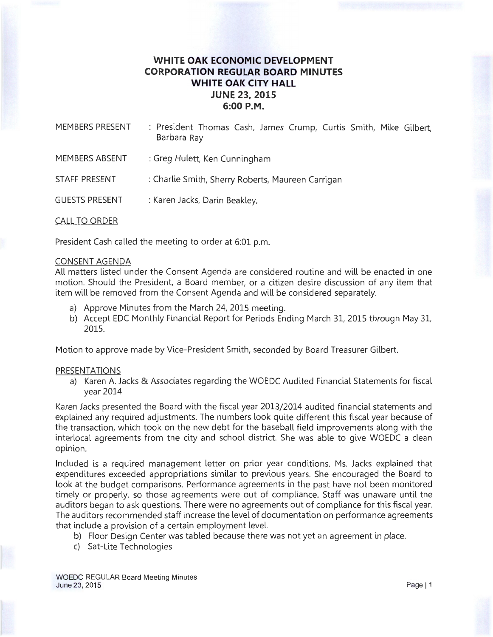# **WHITE OAK ECONOMIC DEVELOPMENT CORPORATION REGULAR BOARD MINUTES WHITE OAK CITY HALL JUNE** 23, **2015 6:00P.M.**

| MEMBERS PRESENT       | : President Thomas Cash, James Crump, Curtis Smith, Mike Gilbert,<br>Barbara Ray |
|-----------------------|----------------------------------------------------------------------------------|
| MEMBERS ABSENT        | : Greg Hulett, Ken Cunningham                                                    |
| STAFF PRESENT         | : Charlie Smith, Sherry Roberts, Maureen Carrigan                                |
| <b>GUESTS PRESENT</b> | : Karen Jacks, Darin Beakley,                                                    |
|                       |                                                                                  |

CALL TO ORDER

President Cash called the meeting to order at 6:01 p.m.

### CONSENT AGENDA

All matters listed under the Consent Agenda are considered routine and will be enacted in one motion. Should the President, a Board member, or a citizen desire discussion of any item that item will be removed from the Consent Agenda and will be considered separately.

- a) Approve Minutes from the March 24, 2015 meeting.
- b) Accept EDC Monthly Financial Report for Periods Ending March 31, 2015 through May 31, 2015.

Motion to approve made by Vice-President Smith, seconded by Board Treasurer Gilbert.

#### PRESENTATIONS

a) Karen A. Jacks & Associates regarding the WOEDC Audited Financial Statements for fiscal year 2014

Karen Jacks presented the Board with the fiscal year 2013/2014 audited financial statements and explained any required adjustments. The numbers look quite different this fiscal year because of the transaction, which took on the new debt for the baseball field improvements along with the interlocal agreements from the city and school district. She was able to give WOEDC a clean opinion.

Included is a required management letter on prior year conditions. Ms. Jacks explained that expenditures exceeded appropriations similar to previous years. She encouraged the Board to look at the budget comparisons. Performance agreements in the past have not been monitored timely or properly, so those agreements were out of compliance. Staff was unaware until the auditors began to ask questions. There were no agreements out of compliance for this fiscal year. The auditors recommended staff increase the level of documentation on performance agreements that include a provision of a certain employment level.

- b) Floor Design Center was tabled because there was not yet an agreement in place.
- c) Sat-Lite Technologies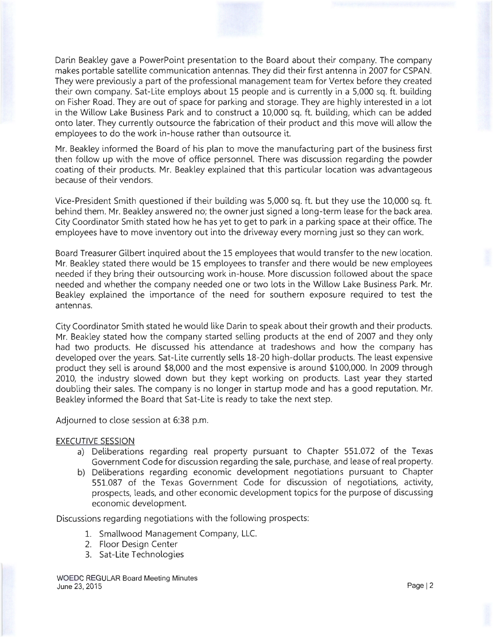Darin Beakley gave a PowerPoint presentation to the Board about their company. The company makes portable satellite communication antennas. They did their first antenna in 2007 for CSPAN. They were previously a part of the professional management team for Vertex before they created their own company. Sat-Lite employs about 15 people and is currently in a 5,000 sq. ft. building on Fisher Road. They are out of space for parking and storage. They are highly interested in a lot in the Willow Lake Business Park and to construct a 10,000 sq. ft. building, which can be added onto later. They currently outsource the fabrication of their product and this move will allow the employees to do the work in-house rather than outsource it.

Mr. Beakley informed the Board of his plan to move the manufacturing part of the business first then follow up with the move of office personnel. There was discussion regarding the powder coating of their products. Mr. Beakley explained that this particular location was advantageous because of their vendors.

Vice-President Smith questioned if their building was 5,000 sq. ft. but they use the 10,000 sq. ft. behind them. Mr. Beakley answered no; the owner just signed a long-term lease for the back area. City Coordinator Smith stated how he has yet to get to park in a parking space at their office. The employees have to move inventory out into the driveway every morning just so they can work.

Board Treasurer Gilbert inquired about the 15 employees that would transfer to the new location. Mr. Beakley stated there would be 15 employees to transfer and there would be new employees needed if they bring their outsourcing work in-house. More discussion followed about the space needed and whether the company needed one or two lots in the Willow Lake Business Park. Mr. Beakley explained the importance of the need for southern exposure required to test the antennas.

City Coordinator Smith stated he would like Darin to speak about their growth and their products. Mr. Beakley stated how the company started selling products at the end of 2007 and they only had two products. He discussed his attendance at tradeshows and how the company has developed over the years. Sat-Lite currently sells 18-20 high-dollar products. The least expensive product they sell is around \$8,000 and the most expensive is around \$100,000. In 2009 through 2010, the industry slowed down but they kept working on products. Last year they started doubling their sales. The company is no longer in startup mode and has a good reputation. Mr. Beakley informed the Board that Sat-Lite is ready to take the next step.

Adjourned to close session at 6:38 p.m.

### EXECUTIVE SESSION

- a) Deliberations regarding real property pursuant to Chapter 551.072 of the Texas Government Code for discussion regarding the sale, purchase, and lease of real property.
- b) Deliberations regarding economic development negotiations pursuant to Chapter 551.087 of the Texas Government Code for discussion of negotiations, activity, prospects, leads, and other economic development topics for the purpose of discussing economic development.

Discussions regarding negotiations with the following prospects:

- 1. Smallwood Management Company, LLC.
- 2. Floor Design Center
- 3. Sat-Lite Technologies

WOEDC REGULAR Board Meeting Minutes June 23, 2015 Page 12